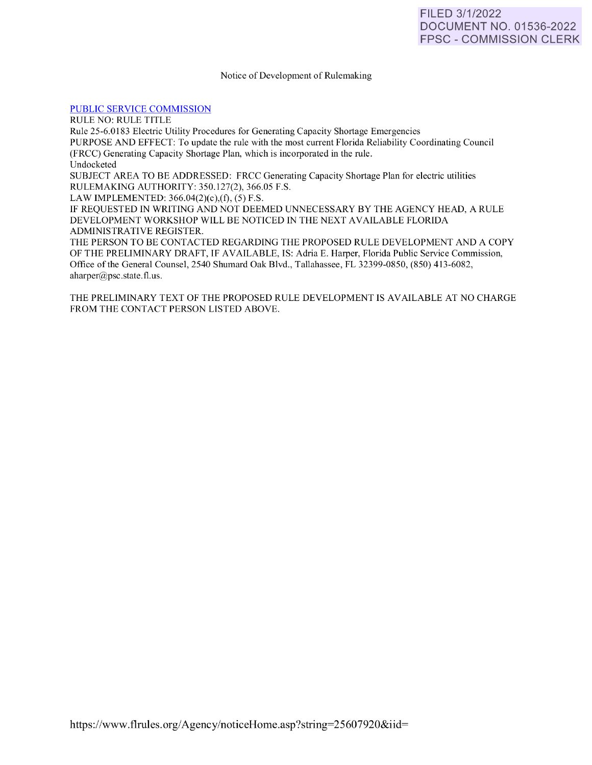### Notice of Development of Rulemaking

### [PUBLIC SERVICE COMMISSION](https://www.flrules.org/gateway/department.asp?id=25)

RULE NO: RULE TITLE Rule 25-6.01 83 Electric Utility Procedures for Generating Capacity Shortage Emergencies PURPOSE AND EFFECT: To update the rule with the most current Florida Reliability Coordinating Council (FRCC) Generating Capacity Shortage Plan, which is incorporated in the rule. Undocketed SUBJECT AREA TO BE ADDRESSED: FRCC Generating Capacity Shortage Plan for electric utilities RULEMAKING AUTHORITY: 350. 127(2), 366.05 F.S. LAW IMPLEMENTED: 366.04(2)(c),(f), (5) F.S. IF REQUESTED IN WRITING AND NOT DEEMED UNNECESSARY BY THE AGENCY HEAD, A RULE DEVELOPMENT WORKSHOP WILL BE NOTICED IN THE NEXT AVAILABLE FLORIDA ADMINISTRATIVE REGISTER. THE PERSON TO BE CONTACTED REGARDING THE PROPOSED RULE DEVELOPMENT AND A COPY OF THE PRELIMINARY DRAFT, IF AVAILABLE, IS: Adria E. Harper, Florida Public Service Commission, Office of the General Counsel, 2540 Shumard Oak Blvd., Tallahassee, FL 32399-0850, (850) 413-6082,  $aharper@psc. state. flux.$ 

THE PRELIMINARY TEXT OF THE PROPOSED RULE DEVELOPMENT IS AVAILABLE AT NO CHARGE FROM THE CONTACT PERSON LISTED ABOVE.